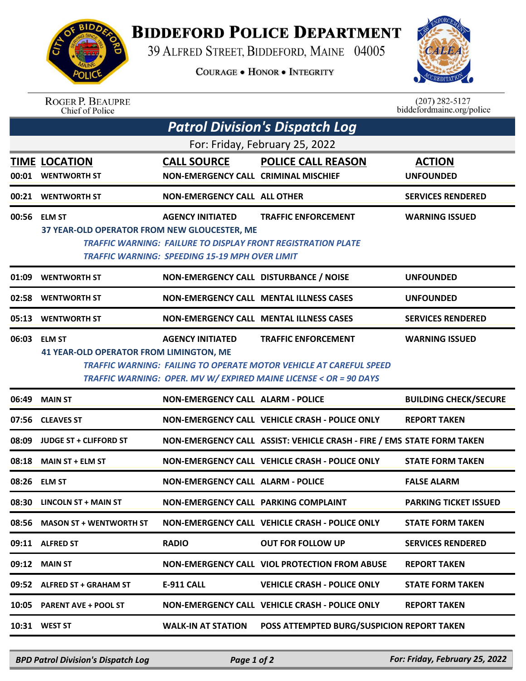

## **BIDDEFORD POLICE DEPARTMENT**

39 ALFRED STREET, BIDDEFORD, MAINE 04005

**COURAGE . HONOR . INTEGRITY** 



## ROGER P. BEAUPRE<br>Chief of Police

 $(207)$  282-5127<br>biddefordmaine.org/police

| <b>Patrol Division's Dispatch Log</b> |                                                                |                                                                                  |                                                                                                                                                                              |                                   |  |  |  |  |
|---------------------------------------|----------------------------------------------------------------|----------------------------------------------------------------------------------|------------------------------------------------------------------------------------------------------------------------------------------------------------------------------|-----------------------------------|--|--|--|--|
| For: Friday, February 25, 2022        |                                                                |                                                                                  |                                                                                                                                                                              |                                   |  |  |  |  |
|                                       | <b>TIME LOCATION</b><br>00:01 WENTWORTH ST                     | <b>CALL SOURCE</b><br><b>NON-EMERGENCY CALL CRIMINAL MISCHIEF</b>                | <b>POLICE CALL REASON</b>                                                                                                                                                    | <b>ACTION</b><br><b>UNFOUNDED</b> |  |  |  |  |
|                                       | 00:21 WENTWORTH ST                                             | <b>NON-EMERGENCY CALL ALL OTHER</b>                                              |                                                                                                                                                                              | <b>SERVICES RENDERED</b>          |  |  |  |  |
|                                       | 00:56 ELM ST<br>37 YEAR-OLD OPERATOR FROM NEW GLOUCESTER, ME   | <b>AGENCY INITIATED</b><br><b>TRAFFIC WARNING: SPEEDING 15-19 MPH OVER LIMIT</b> | <b>TRAFFIC ENFORCEMENT</b><br>TRAFFIC WARNING: FAILURE TO DISPLAY FRONT REGISTRATION PLATE                                                                                   | <b>WARNING ISSUED</b>             |  |  |  |  |
| 01:09                                 | <b>WENTWORTH ST</b>                                            | NON-EMERGENCY CALL DISTURBANCE / NOISE                                           |                                                                                                                                                                              | <b>UNFOUNDED</b>                  |  |  |  |  |
| 02:58                                 | <b>WENTWORTH ST</b>                                            |                                                                                  | <b>NON-EMERGENCY CALL MENTAL ILLNESS CASES</b>                                                                                                                               | <b>UNFOUNDED</b>                  |  |  |  |  |
|                                       | 05:13 WENTWORTH ST                                             |                                                                                  | <b>NON-EMERGENCY CALL MENTAL ILLNESS CASES</b>                                                                                                                               | <b>SERVICES RENDERED</b>          |  |  |  |  |
|                                       | 06:03 ELM ST<br><b>41 YEAR-OLD OPERATOR FROM LIMINGTON, ME</b> | <b>AGENCY INITIATED</b>                                                          | <b>TRAFFIC ENFORCEMENT</b><br><b>TRAFFIC WARNING: FAILING TO OPERATE MOTOR VEHICLE AT CAREFUL SPEED</b><br>TRAFFIC WARNING: OPER. MV W/ EXPIRED MAINE LICENSE < OR = 90 DAYS | <b>WARNING ISSUED</b>             |  |  |  |  |
| 06:49                                 | <b>MAIN ST</b>                                                 | <b>NON-EMERGENCY CALL ALARM - POLICE</b>                                         |                                                                                                                                                                              | <b>BUILDING CHECK/SECURE</b>      |  |  |  |  |
|                                       | 07:56 CLEAVES ST                                               |                                                                                  | NON-EMERGENCY CALL VEHICLE CRASH - POLICE ONLY                                                                                                                               | <b>REPORT TAKEN</b>               |  |  |  |  |
| 08:09                                 | <b>JUDGE ST + CLIFFORD ST</b>                                  |                                                                                  | NON-EMERGENCY CALL ASSIST: VEHICLE CRASH - FIRE / EMS STATE FORM TAKEN                                                                                                       |                                   |  |  |  |  |
| 08:18                                 | <b>MAIN ST + ELM ST</b>                                        |                                                                                  | NON-EMERGENCY CALL VEHICLE CRASH - POLICE ONLY                                                                                                                               | <b>STATE FORM TAKEN</b>           |  |  |  |  |
|                                       | 08:26 ELM ST                                                   | <b>NON-EMERGENCY CALL ALARM - POLICE</b>                                         |                                                                                                                                                                              | <b>FALSE ALARM</b>                |  |  |  |  |
|                                       | 08:30 LINCOLN ST + MAIN ST                                     | NON-EMERGENCY CALL PARKING COMPLAINT                                             |                                                                                                                                                                              | <b>PARKING TICKET ISSUED</b>      |  |  |  |  |
|                                       | 08:56 MASON ST + WENTWORTH ST                                  |                                                                                  | <b>NON-EMERGENCY CALL VEHICLE CRASH - POLICE ONLY</b>                                                                                                                        | <b>STATE FORM TAKEN</b>           |  |  |  |  |
|                                       | 09:11 ALFRED ST                                                | <b>RADIO</b>                                                                     | <b>OUT FOR FOLLOW UP</b>                                                                                                                                                     | <b>SERVICES RENDERED</b>          |  |  |  |  |
| 09:12                                 | <b>MAIN ST</b>                                                 |                                                                                  | <b>NON-EMERGENCY CALL VIOL PROTECTION FROM ABUSE</b>                                                                                                                         | <b>REPORT TAKEN</b>               |  |  |  |  |
|                                       | 09:52 ALFRED ST + GRAHAM ST                                    | E-911 CALL                                                                       | <b>VEHICLE CRASH - POLICE ONLY</b>                                                                                                                                           | <b>STATE FORM TAKEN</b>           |  |  |  |  |
|                                       | 10:05 PARENT AVE + POOL ST                                     |                                                                                  | <b>NON-EMERGENCY CALL VEHICLE CRASH - POLICE ONLY</b>                                                                                                                        | <b>REPORT TAKEN</b>               |  |  |  |  |
|                                       | 10:31 WEST ST                                                  | <b>WALK-IN AT STATION</b>                                                        | POSS ATTEMPTED BURG/SUSPICION REPORT TAKEN                                                                                                                                   |                                   |  |  |  |  |

*BPD Patrol Division's Dispatch Log Page 1 of 2 For: Friday, February 25, 2022*